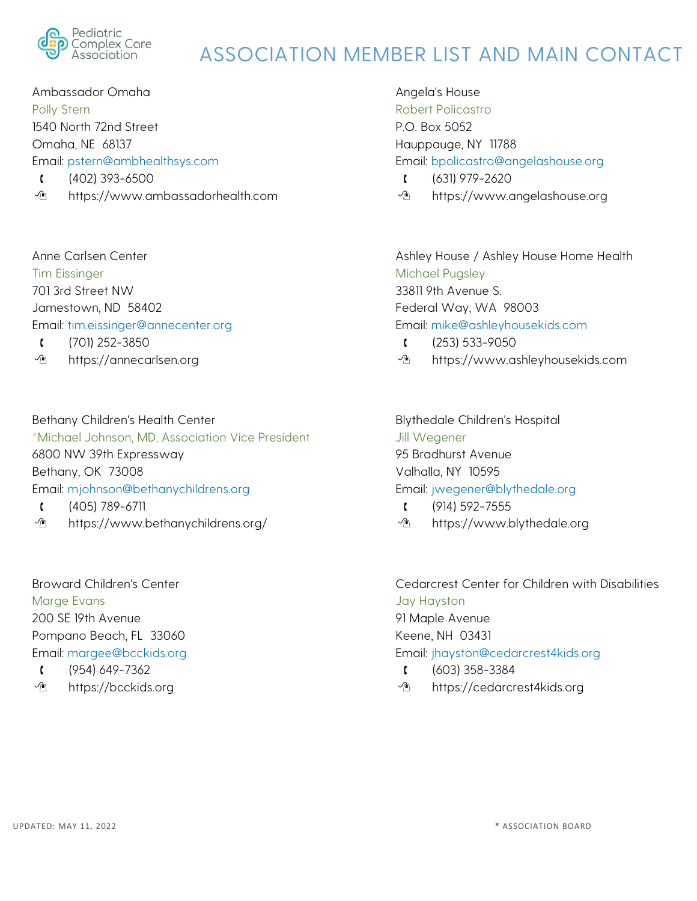

Ambassador Omaha Polly Stern 1540 North 72nd Street Omaha, NE 68137 Email: pstern@ambhealthsys.com  $(402)$  393-6500

https://www.ambassadorhealth.com

Anne Carlsen Center Tim Eissinger 701 3rd Street NW Jamestown, ND 58402 Email: tim.eissinger@annecenter.org (701) 252-3850

*I* https://annecarlsen.org

Bethany Children's Health Center \*Michael Johnson, MD, Association Vice President 6800 NW 39th Expressway Bethany, OK 73008 Email: mjohnson@bethanychildrens.org (405) 789-6711

https://www.bethanychildrens.org/

Broward Children's Center Marge Evans 200 SE 19th Avenue Pompano Beach, FL 33060 Email: margee@bcckids.org  $(954) 649 - 7362$ 

*I* https://bcckids.org

Angela's House Robert Policastro P.O. Box 5052 Hauppauge, NY 11788 Email: bpolicastro@angelashouse.org

- $(631)$  979-2620
- <sup>1</sup> https://www.angelashouse.org

Ashley House / Ashley House Home Health Michael Pugsley 33811 9th Avenue S. Federal Way, WA 98003 Email: mike@ashleyhousekids.com

- $(253) 533 9050$
- https://www.ashleyhousekids.com

Blythedale Children's Hospital Jill Wegener 95 Bradhurst Avenue Valhalla, NY 10595 Email: jwegener@blythedale.org

- $(914) 592 7555$
- *I* https://www.blythedale.org

Cedarcrest Center for Children with Disabilities Jay Hayston 91 Maple Avenue Keene, NH 03431 Email: jhayston@cedarcrest4kids.org (603) 358-3384

*I* https://cedarcrest4kids.org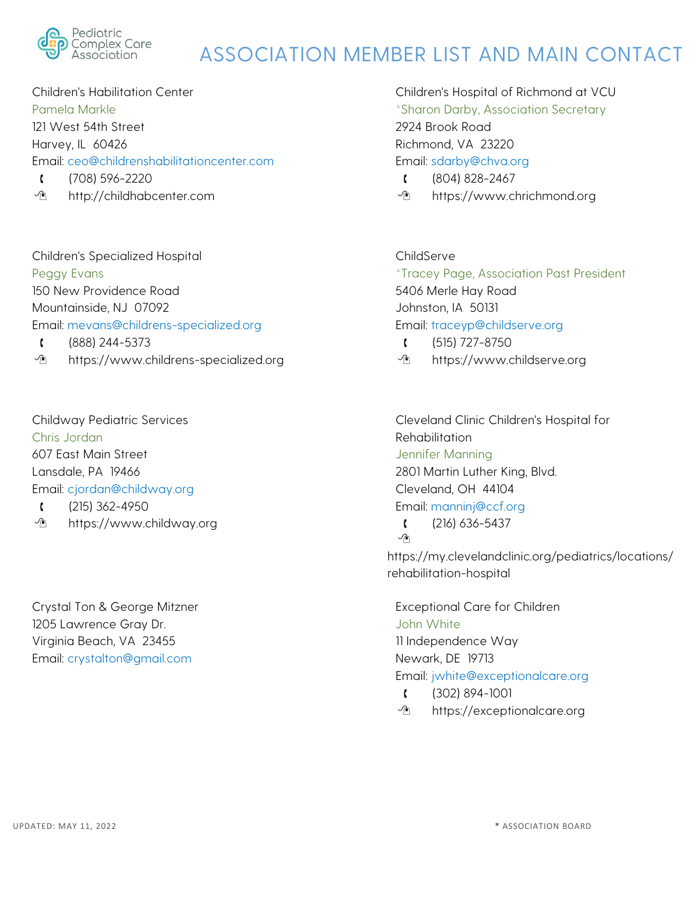

Children's Habilitation Center Pamela Markle 121 West 54th Street Harvey, IL 60426 Email: ceo@childrenshabilitationcenter.com (708) 596-2220

<sup>1</sup> http://childhabcenter.com

Children's Specialized Hospital Peggy Evans 150 New Providence Road Mountainside, NJ 07092 Email: mevans@childrens-specialized.org (888) 244-5373

*I* https://www.childrens-specialized.org

Childway Pediatric Services Chris Jordan 607 East Main Street Lansdale, PA 19466 Email: cjordan@childway.org

- $(215)$  362-4950
- https://www.childway.org

Crystal Ton & George Mitzner 1205 Lawrence Gray Dr. Virginia Beach, VA 23455 Email: crystalton@gmail.com

Children's Hospital of Richmond at VCU \*Sharon Darby, Association Secretary 2924 Brook Road Richmond, VA 23220 Email: sdarby@chva.org

- $(804) 828 2467$
- <sup>1</sup> https://www.chrichmond.org

ChildServe \*Tracey Page, Association Past President 5406 Merle Hay Road Johnston, IA 50131 Email: traceyp@childserve.org  $(515)$  727-8750

<sup>1</sup> https://www.childserve.org

Cleveland Clinic Children's Hospital for **Rehabilitation** Jennifer Manning 2801 Martin Luther King, Blvd. Cleveland, OH 44104 Email: manninj@ccf.org  $(216) 636 - 5437$ 

#### $\sqrt{n}$

https://my.clevelandclinic.org/pediatrics/locations/ rehabilitation-hospital

Exceptional Care for Children John White 11 Independence Way Newark, DE 19713 Email: jwhite@exceptionalcare.org

- (302) 894-1001
- https://exceptionalcare.org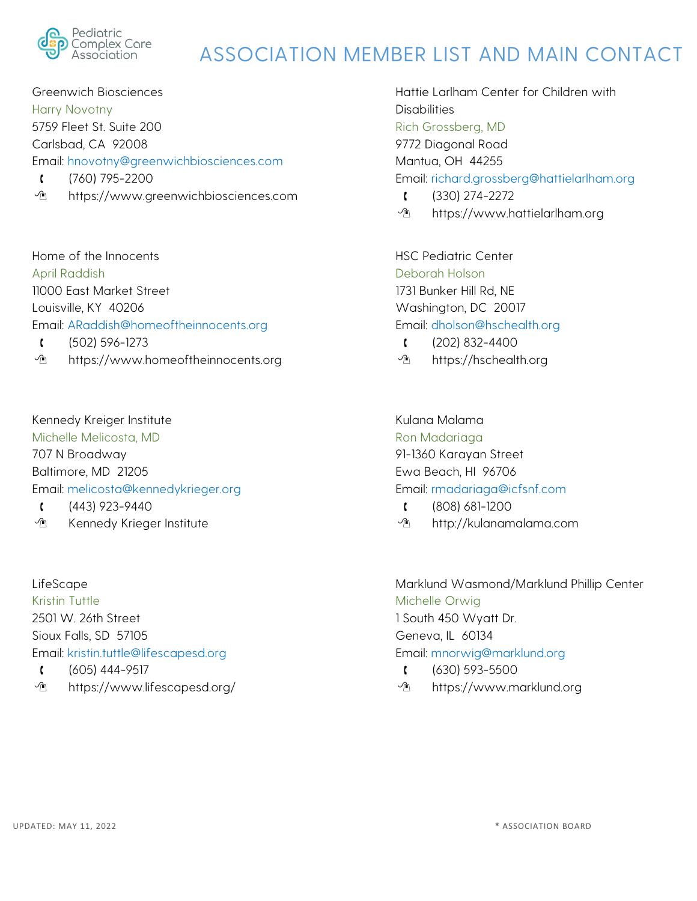

Greenwich Biosciences Harry Novotny 5759 Fleet St. Suite 200 Carlsbad, CA 92008 Email: hnovotny@greenwichbiosciences.com  $(760)$  795-2200

*I* https://www.greenwichbiosciences.com

Home of the Innocents April Raddish 11000 East Market Street Louisville, KY 40206 Email: ARaddish@homeoftheinnocents.org (502) 596-1273

*I* https://www.homeoftheinnocents.org

Kennedy Kreiger Institute Michelle Melicosta, MD 707 N Broadway Baltimore, MD 21205 Email: melicosta@kennedykrieger.org

 $(443)$  923-9440

**The Kennedy Krieger Institute** 

LifeScape Kristin Tuttle 2501 W. 26th Street Sioux Falls, SD 57105 Email: kristin.tuttle@lifescapesd.org  $(605)$  444-9517

https://www.lifescapesd.org/

Hattie Larlham Center for Children with **Disabilities** Rich Grossberg, MD 9772 Diagonal Road Mantua, OH 44255 Email: richard.grossberg@hattielarlham.org (330) 274-2272

<sup>1</sup> https://www.hattielarlham.org

HSC Pediatric Center Deborah Holson 1731 Bunker Hill Rd, NE Washington, DC 20017 Email: dholson@hschealth.org (202) 832-4400

*I* https://hschealth.org

Kulana Malama Ron Madariaga 91-1360 Karayan Street Ewa Beach, HI 96706 Email: rmadariaga@icfsnf.com

- (808) 681-1200
- http://kulanamalama.com

Marklund Wasmond/Marklund Phillip Center Michelle Orwig 1 South 450 Wyatt Dr. Geneva, IL 60134 Email: mnorwig@marklund.org  $(630) 593 - 5500$ 

<sup>1</sup> https://www.marklund.org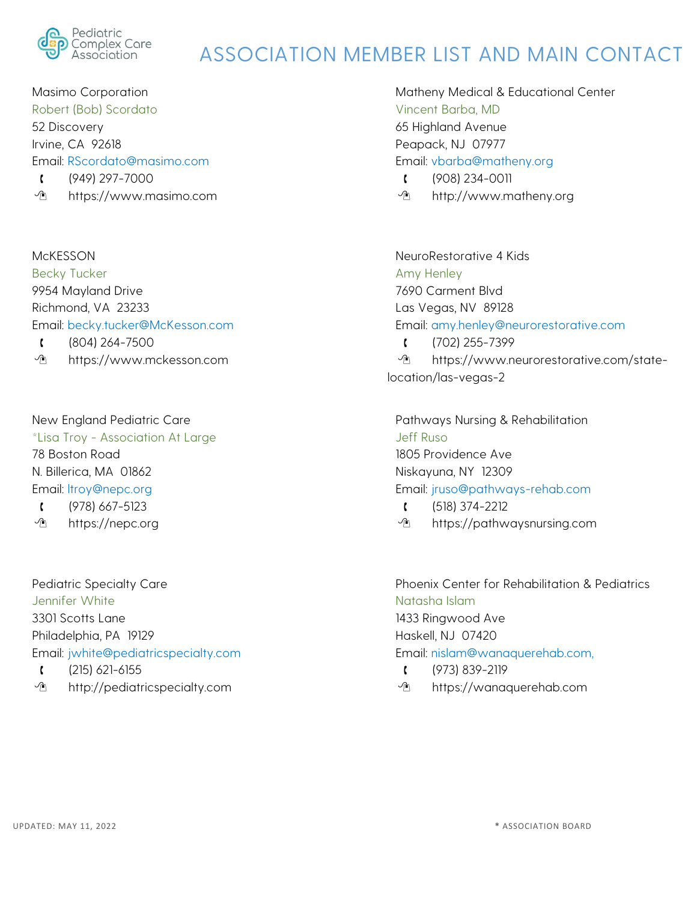

Masimo Corporation Robert (Bob) Scordato 52 Discovery Irvine, CA 92618 Email: RScordato@masimo.com (949) 297-7000

**↑** https://www.masimo.com

McKESSON Becky Tucker 9954 Mayland Drive Richmond, VA 23233 Email: becky.tucker@McKesson.com (804) 264-7500

https://www.mckesson.com

New England Pediatric Care \*Lisa Troy - Association At Large 78 Boston Road N. Billerica, MA 01862 Email: ltroy@nepc.org

- (978) 667-5123
- *I* https://nepc.org

Pediatric Specialty Care Jennifer White 3301 Scotts Lane Philadelphia, PA 19129 Email: jwhite@pediatricspecialty.com  $(215)$  621-6155

*I* http://pediatricspecialty.com

Matheny Medical & Educational Center Vincent Barba, MD 65 Highland Avenue Peapack, NJ 07977 Email: vbarba@matheny.org

- (908) 234-0011
- http://www.matheny.org

NeuroRestorative 4 Kids Amy Henley 7690 Carment Blvd Las Vegas, NV 89128 Email: amy.henley@neurorestorative.com (702) 255-7399  $\mathcal{P}$  https://www.neurorestorative.com/statelocation/las-vegas-2

Pathways Nursing & Rehabilitation Jeff Ruso 1805 Providence Ave Niskayuna, NY 12309 Email: jruso@pathways-rehab.com

- $(518) 374 2212$
- https://pathwaysnursing.com

Phoenix Center for Rehabilitation & Pediatrics Natasha Islam 1433 Ringwood Ave Haskell, NJ 07420 Email: nislam@wanaquerehab.com,  $(973) 839 - 2119$ 

<sup>1</sup> https://wanaquerehab.com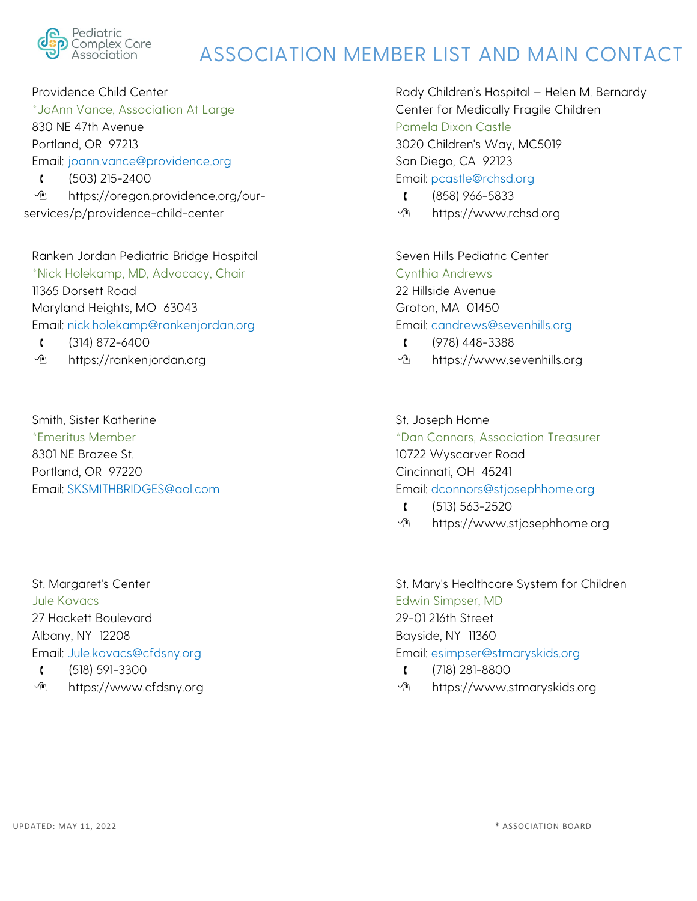

Providence Child Center \*JoAnn Vance, Association At Large 830 NE 47th Avenue Portland, OR 97213 Email: joann.vance@providence.org  $(503)$  215-2400 https://oregon.providence.org/ourservices/p/providence-child-center

Ranken Jordan Pediatric Bridge Hospital \*Nick Holekamp, MD, Advocacy, Chair 11365 Dorsett Road Maryland Heights, MO 63043 Email: nick.holekamp@rankenjordan.org

 $(314) 872 - 6400$ 

<sup>1</sup> https://rankenjordan.org

Smith, Sister Katherine \*Emeritus Member 8301 NE Brazee St. Portland, OR 97220 Email: SKSMITHBRIDGES@aol.com

St. Margaret's Center Jule Kovacs 27 Hackett Boulevard Albany, NY 12208 Email: Jule.kovacs@cfdsny.org

- $(518) 591 3300$
- https://www.cfdsny.org

Rady Children's Hospital – Helen M. Bernardy Center for Medically Fragile Children Pamela Dixon Castle 3020 Children's Way, MC5019 San Diego, CA 92123 Email: pcastle@rchsd.org

- (858) 966-5833
- https://www.rchsd.org

Seven Hills Pediatric Center Cynthia Andrews 22 Hillside Avenue Groton, MA 01450 Email: candrews@sevenhills.org (978) 448-3388

<sup>1</sup> https://www.sevenhills.org

St. Joseph Home \*Dan Connors, Association Treasurer 10722 Wyscarver Road Cincinnati, OH 45241 Email: dconnors@stjosephhome.org

- $(513) 563 2520$
- https://www.stjosephhome.org

St. Mary's Healthcare System for Children Edwin Simpser, MD 29-01 216th Street Bayside, NY 11360 Email: esimpser@stmaryskids.org (718) 281-8800

https://www.stmaryskids.org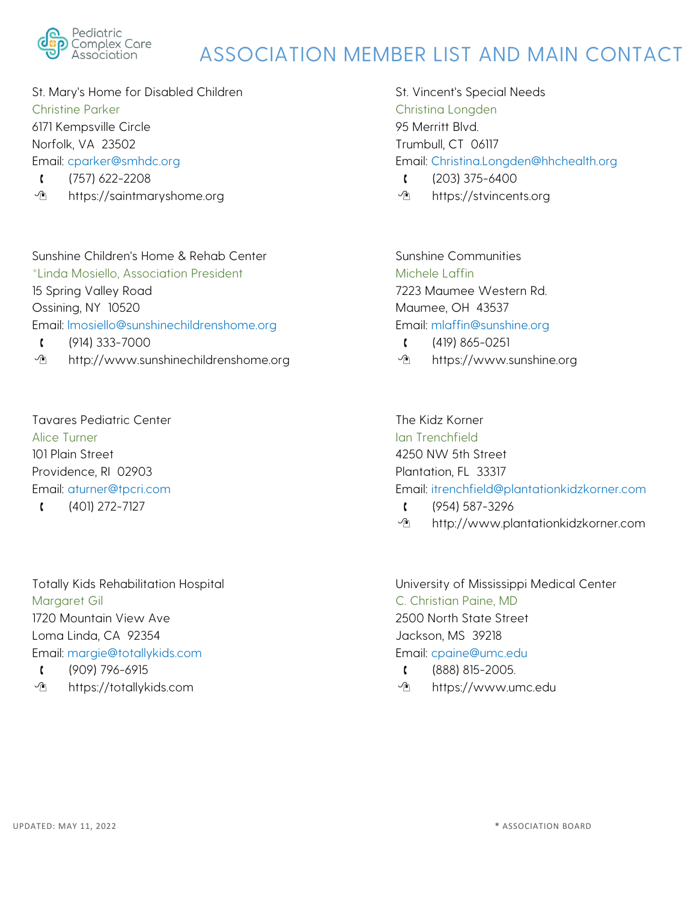

St. Mary's Home for Disabled Children Christine Parker 6171 Kempsville Circle Norfolk, VA 23502 Email: cparker@smhdc.org  $(757)$  622-2208

<sup>1</sup> https://saintmaryshome.org

Sunshine Children's Home & Rehab Center \*Linda Mosiello, Association President 15 Spring Valley Road Ossining, NY 10520 Email: lmosiello@sunshinechildrenshome.org  $(914) 333 - 7000$ 

*I* http://www.sunshinechildrenshome.org

Tavares Pediatric Center Alice Turner 101 Plain Street Providence, RI 02903 Email: aturner@tpcri.com

 $(401)$  272-7127

Totally Kids Rehabilitation Hospital Margaret Gil 1720 Mountain View Ave Loma Linda, CA 92354 Email: margie@totallykids.com (909) 796-6915

*I* https://totallykids.com

St. Vincent's Special Needs Christina Longden 95 Merritt Blvd. Trumbull, CT 06117 Email: Christina.Longden@hhchealth.org  $(203)$  375-6400

*I* https://stvincents.org

Sunshine Communities Michele Laffin 7223 Maumee Western Rd. Maumee, OH 43537 Email: mlaffin@sunshine.org  $(419) 865 - 0251$ 

<sup>1</sup> https://www.sunshine.org

The Kidz Korner Ian Trenchfield 4250 NW 5th Street Plantation, FL 33317 Email: itrenchfield@plantationkidzkorner.com

- (954) 587-3296
- *<u>A</u>* http://www.plantationkidzkorner.com

University of Mississippi Medical Center C. Christian Paine, MD 2500 North State Street Jackson, MS 39218 Email: cpaine@umc.edu (888) 815-2005.

*I* https://www.umc.edu